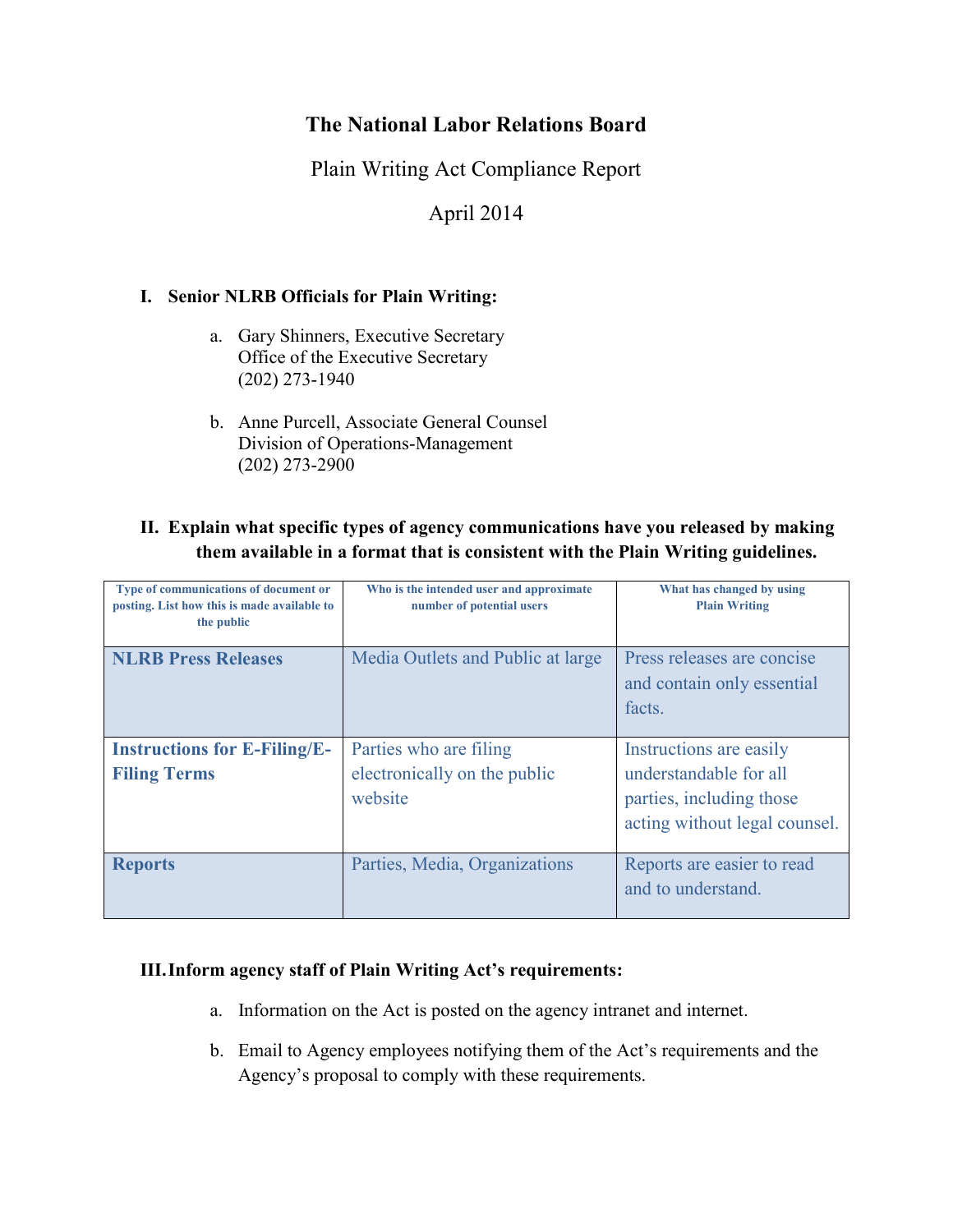# **The National Labor Relations Board**

Plain Writing Act Compliance Report

April 2014

## **I. Senior NLRB Officials for Plain Writing:**

- a. Gary Shinners, Executive Secretary Office of the Executive Secretary (202) 273-1940
- b. Anne Purcell, Associate General Counsel Division of Operations-Management (202) 273-2900

## **II. Explain what specific types of agency communications have you released by making them available in a format that is consistent with the Plain Writing guidelines.**

| Type of communications of document or<br>posting. List how this is made available to<br>the public | Who is the intended user and approximate<br>number of potential users | What has changed by using<br><b>Plain Writing</b>                                                              |
|----------------------------------------------------------------------------------------------------|-----------------------------------------------------------------------|----------------------------------------------------------------------------------------------------------------|
| <b>NLRB Press Releases</b>                                                                         | Media Outlets and Public at large                                     | Press releases are concise<br>and contain only essential<br>facts.                                             |
| <b>Instructions for E-Filing/E-</b><br><b>Filing Terms</b>                                         | Parties who are filing<br>electronically on the public<br>website     | Instructions are easily<br>understandable for all<br>parties, including those<br>acting without legal counsel. |
| <b>Reports</b>                                                                                     | Parties, Media, Organizations                                         | Reports are easier to read<br>and to understand.                                                               |

### **III.Inform agency staff of Plain Writing Act's requirements:**

- a. Information on the Act is posted on the agency intranet and internet.
- b. Email to Agency employees notifying them of the Act's requirements and the Agency's proposal to comply with these requirements.